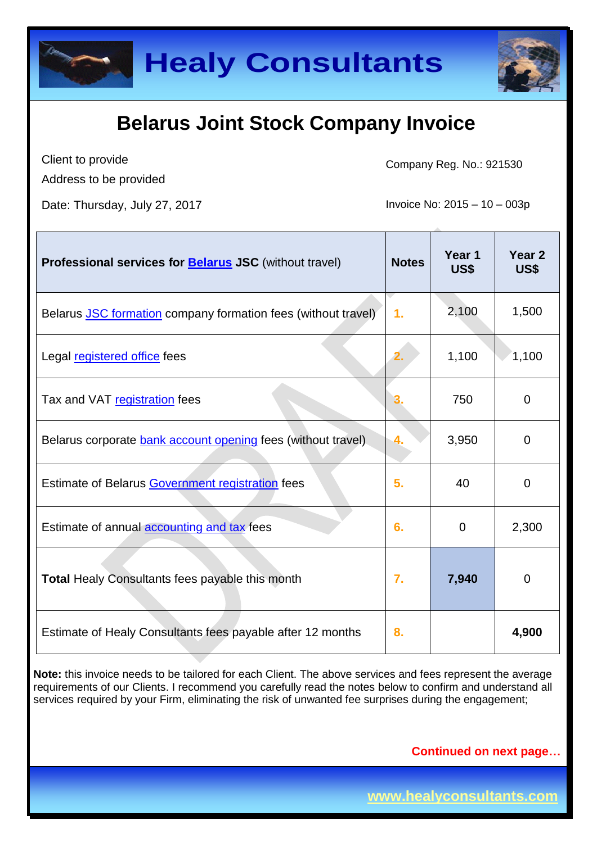

Client to provide Address to be provided

Company Reg. No.: 921530

Date: Thursday, July 27, 2017 **Invoice No: 2015** – 10 – 003p

| Professional services for <b>Belarus JSC</b> (without travel) | <b>Notes</b> | Year 1<br><b>US\$</b> | Year <sub>2</sub><br>US\$ |
|---------------------------------------------------------------|--------------|-----------------------|---------------------------|
| Belarus JSC formation company formation fees (without travel) | 1.           | 2,100                 | 1,500                     |
| Legal registered office fees                                  | 2.           | 1,100                 | 1,100                     |
| Tax and VAT registration fees                                 | 3.           | 750                   | $\mathbf 0$               |
| Belarus corporate bank account opening fees (without travel)  | 4.           | 3,950                 | $\mathbf 0$               |
| Estimate of Belarus Government registration fees              | 5.           | 40                    | $\Omega$                  |
| Estimate of annual accounting and tax fees                    | 6.           | $\overline{0}$        | 2,300                     |
| <b>Total Healy Consultants fees payable this month</b>        | 7.           | 7,940                 | $\mathbf 0$               |
| Estimate of Healy Consultants fees payable after 12 months    | 8.           |                       | 4,900                     |

**Note:** this invoice needs to be tailored for each Client. The above services and fees represent the average requirements of our Clients. I recommend you carefully read the notes below to confirm and understand all services required by your Firm, eliminating the risk of unwanted fee surprises during the engagement;

**Continued on next page…**

**www.healyconsultants.com**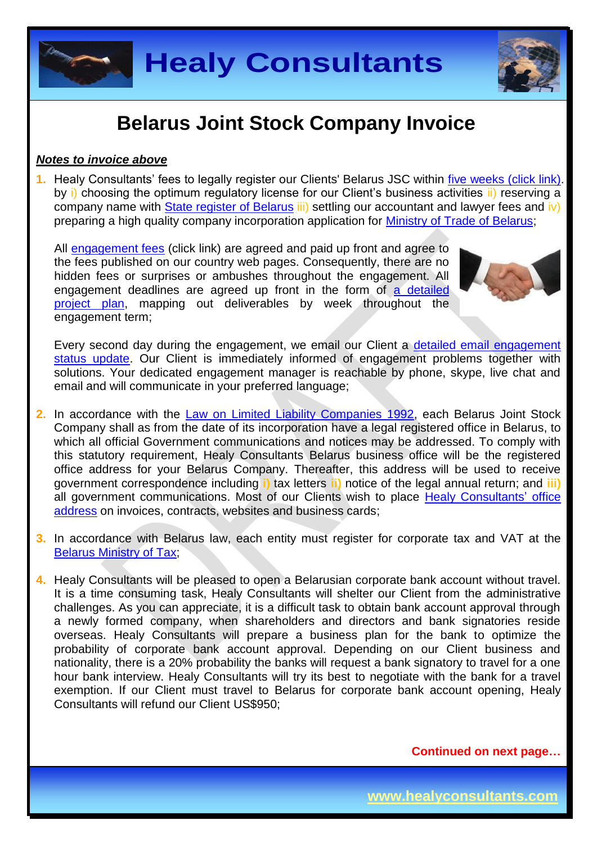**Healy Consultants**

## **Belarus Joint Stock Company Invoice**

#### *Notes to invoice above*

**1.** Healy Consultants' fees to legally register our Clients' Belarus JSC within [five weeks \(click link\).](http://www.healyconsultants.com/belarus-company-registration/fees-timelines/#timelines) by i) choosing the optimum regulatory license for our Client's business activities ii) reserving a company name with [State register](http://egr.gov.by/egr/) of Belarus iii) settling our accountant and lawyer fees and iv) preparing a high quality company incorporation application for [Ministry of Trade](http://www.mintorg.gov.by/index.php?option=com_content&task=view&id=72&Itemid=78&lang=en) of Belarus;

All [engagement fees](http://www.healyconsultants.com/company-registration-fees/) (click link) are agreed and paid up front and agree to the fees published on our country web pages. Consequently, there are no hidden fees or surprises or ambushes throughout the engagement. All engagement deadlines are agreed up front in the form of [a detailed](http://www.healyconsultants.com/index-important-links/example-project-plan/)  [project plan,](http://www.healyconsultants.com/index-important-links/example-project-plan/) mapping out deliverables by week throughout the engagement term;



Every second day during the engagement, we email our Client a detailed email engagement [status update.](http://www.healyconsultants.com/index-important-links/weekly-engagement-status-email/) Our Client is immediately informed of engagement problems together with solutions. Your dedicated engagement manager is reachable by phone, skype, live chat and email and will communicate in your preferred language;

- **2.** In accordance with the [Law on Limited Liability Companies 1992,](http://pravo.levonevsky.org/bazaby/zakon/text24/index.htm) each Belarus Joint Stock Company shall as from the date of its incorporation have a legal registered office in Belarus, to which all official Government communications and notices may be addressed. To comply with this statutory requirement, Healy Consultants Belarus business office will be the registered office address for your Belarus Company. Thereafter, this address will be used to receive government correspondence including **i)** tax letters **ii)** notice of the legal annual return; and **iii)**  all government communications. Most of our Clients wish to place [Healy Consultants'](http://www.healyconsultants.com/corporate-outsourcing-services/company-secretary-and-legal-registered-office/) office [address](http://www.healyconsultants.com/corporate-outsourcing-services/company-secretary-and-legal-registered-office/) on invoices, contracts, websites and business cards;
- **3.** In accordance with Belarus law, each entity must register for corporate tax and VAT at the [Belarus Ministry of Tax;](http://www.nalog.gov.by/ru/222/)
- **4.** Healy Consultants will be pleased to open a Belarusian corporate bank account without travel. It is a time consuming task, Healy Consultants will shelter our Client from the administrative challenges. As you can appreciate, it is a difficult task to obtain bank account approval through a newly formed company, when shareholders and directors and bank signatories reside overseas. Healy Consultants will prepare a business plan for the bank to optimize the probability of corporate bank account approval. Depending on our Client business and nationality, there is a 20% probability the banks will request a bank signatory to travel for a one hour bank interview. Healy Consultants will try its best to negotiate with the bank for a travel exemption. If our Client must travel to Belarus for corporate bank account opening, Healy Consultants will refund our Client US\$950;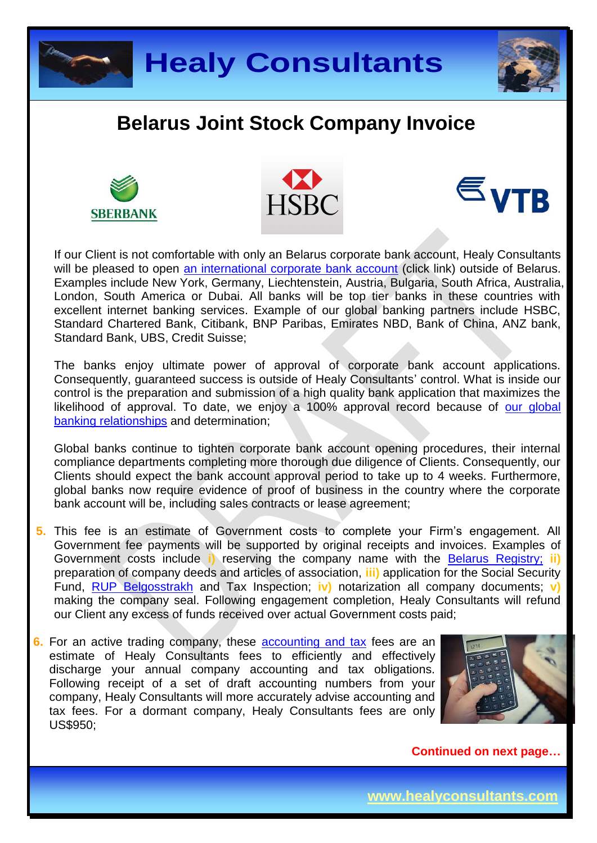









If our Client is not comfortable with only an Belarus corporate bank account, Healy Consultants will be pleased to open [an international corporate bank account](http://www.healyconsultants.com/international-banking/) (click link) outside of Belarus. Examples include New York, Germany, Liechtenstein, Austria, Bulgaria, South Africa, Australia, London, South America or Dubai. All banks will be top tier banks in these countries with excellent internet banking services. Example of our global banking partners include HSBC, Standard Chartered Bank, Citibank, BNP Paribas, Emirates NBD, Bank of China, ANZ bank, Standard Bank, UBS, Credit Suisse;

The banks enjoy ultimate power of approval of corporate bank account applications. Consequently, guaranteed success is outside of Healy Consultants' control. What is inside our control is the preparation and submission of a high quality bank application that maximizes the likelihood of approval. To date, we enjoy a 100% approval record because of [our global](http://www.healyconsultants.com/international-banking/corporate-accounts/) [banking relationships](http://www.healyconsultants.com/international-banking/corporate-accounts/) and determination;

Global banks continue to tighten corporate bank account opening procedures, their internal compliance departments completing more thorough due diligence of Clients. Consequently, our Clients should expect the bank account approval period to take up to 4 weeks. Furthermore, global banks now require evidence of proof of business in the country where the corporate bank account will be, including sales contracts or lease agreement;

- **5.** This fee is an estimate of Government costs to complete your Firm's engagement. All Government fee payments will be supported by original receipts and invoices. Examples of Government costs include **i)** reserving the company name with the [Belarus Registry;](http://egr.gov.by/egr/) **ii)** preparation of company deeds and articles of association, **iii)** application for the Social Security Fund, [RUP Belgosstrakh](http://bgs.by/en/) and Tax Inspection; **iv)** notarization all company documents; **v)** making the company seal. Following engagement completion, Healy Consultants will refund our Client any excess of funds received over actual Government costs paid;
- **6.** For an active trading company, these [accounting and tax](http://www.healyconsultants.com/belarus-company-registration/accounting-legal/) fees are an estimate of Healy Consultants fees to efficiently and effectively discharge your annual company accounting and tax obligations. Following receipt of a set of draft accounting numbers from your company, Healy Consultants will more accurately advise accounting and tax fees. For a dormant company, Healy Consultants fees are only US\$950;

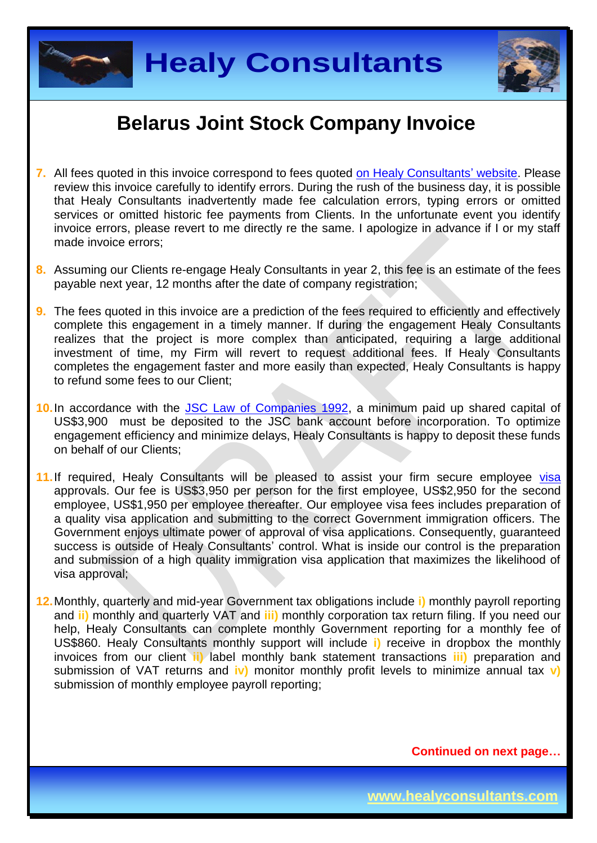



- **7.** All fees quoted in this invoice correspond to fees quoted [on Healy Consultants' website.](http://www.healyconsultants.com/company-registration-fees/) Please review this invoice carefully to identify errors. During the rush of the business day, it is possible that Healy Consultants inadvertently made fee calculation errors, typing errors or omitted services or omitted historic fee payments from Clients. In the unfortunate event you identify invoice errors, please revert to me directly re the same. I apologize in advance if I or my staff made invoice errors;
- **8.** Assuming our Clients re-engage Healy Consultants in year 2, this fee is an estimate of the fees payable next year, 12 months after the date of company registration;
- **9.** The fees quoted in this invoice are a prediction of the fees required to efficiently and effectively complete this engagement in a timely manner. If during the engagement Healy Consultants realizes that the project is more complex than anticipated, requiring a large additional investment of time, my Firm will revert to request additional fees. If Healy Consultants completes the engagement faster and more easily than expected, Healy Consultants is happy to refund some fees to our Client;
- 10. In accordance with the **JSC Law of Companies 1992**, a minimum paid up shared capital of US\$3,900 must be deposited to the JSC bank account before incorporation. To optimize engagement efficiency and minimize delays, Healy Consultants is happy to deposit these funds on behalf of our Clients;
- **11.**If required, Healy Consultants will be pleased to assist your firm secure employee [visa](http://www.healyconsultants.com/belarus-company-registration/formation-support-services/)  approvals. Our fee is US\$3,950 per person for the first employee, US\$2,950 for the second employee, US\$1,950 per employee thereafter. Our employee visa fees includes preparation of a quality visa application and submitting to the correct Government immigration officers. The Government enjoys ultimate power of approval of visa applications. Consequently, guaranteed success is outside of Healy Consultants' control. What is inside our control is the preparation and submission of a high quality immigration visa application that maximizes the likelihood of visa approval;
- **12.**Monthly, quarterly and mid-year Government tax obligations include **i)** monthly payroll reporting and **ii)** monthly and quarterly VAT and **iii)** monthly corporation tax return filing. If you need our help, Healy Consultants can complete monthly Government reporting for a monthly fee of US\$860. Healy Consultants monthly support will include **i)** receive in dropbox the monthly invoices from our client **ii)** label monthly bank statement transactions **iii)** preparation and submission of VAT returns and **iv)** monitor monthly profit levels to minimize annual tax **v)** submission of monthly employee payroll reporting;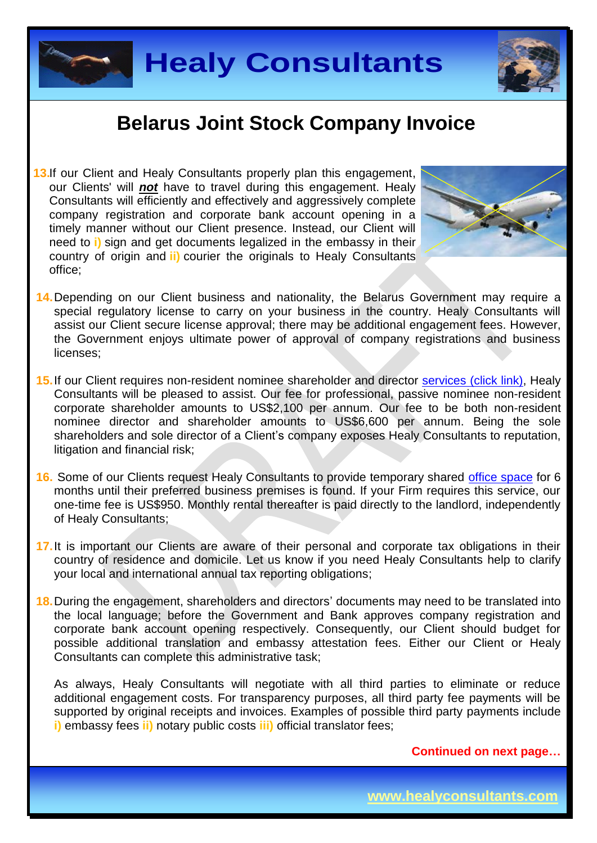



**13.** If our Client and Healy Consultants properly plan this engagement, our Clients' will *not* have to travel during this engagement. Healy Consultants will efficiently and effectively and aggressively complete company registration and corporate bank account opening in a timely manner without our Client presence. Instead, our Client will need to **i)** sign and get documents legalized in the embassy in their country of origin and **ii)** courier the originals to Healy Consultants office;



- **14.**Depending on our Client business and nationality, the Belarus Government may require a special regulatory license to carry on your business in the country. Healy Consultants will assist our Client secure license approval; there may be additional engagement fees. However, the Government enjoys ultimate power of approval of company registrations and business licenses;
- **15.**If our Client requires non-resident nominee shareholder and director services [\(click link\),](http://www.healyconsultants.com/corporate-outsourcing-services/nominee-shareholders-directors/) Healy Consultants will be pleased to assist. Our fee for professional, passive nominee non-resident corporate shareholder amounts to US\$2,100 per annum. Our fee to be both non-resident nominee director and shareholder amounts to US\$6,600 per annum. Being the sole shareholders and sole director of a Client's company exposes Healy Consultants to reputation, litigation and financial risk;
- **16.** Some of our Clients request Healy Consultants to provide temporary shared [office space](http://www.healyconsultants.com/virtual-office/) for 6 months until their preferred business premises is found. If your Firm requires this service, our one-time fee is US\$950. Monthly rental thereafter is paid directly to the landlord, independently of Healy Consultants;
- **17.**It is important our Clients are aware of their personal and corporate tax obligations in their country of residence and domicile. Let us know if you need Healy Consultants help to clarify your local and international annual tax reporting obligations;
- **18.**During the engagement, shareholders and directors' documents may need to be translated into the local language; before the Government and Bank approves company registration and corporate bank account opening respectively. Consequently, our Client should budget for possible additional translation and embassy attestation fees. Either our Client or Healy Consultants can complete this administrative task;

As always, Healy Consultants will negotiate with all third parties to eliminate or reduce additional engagement costs. For transparency purposes, all third party fee payments will be supported by original receipts and invoices. Examples of possible third party payments include **i)** embassy fees **ii)** notary public costs **iii)** official translator fees;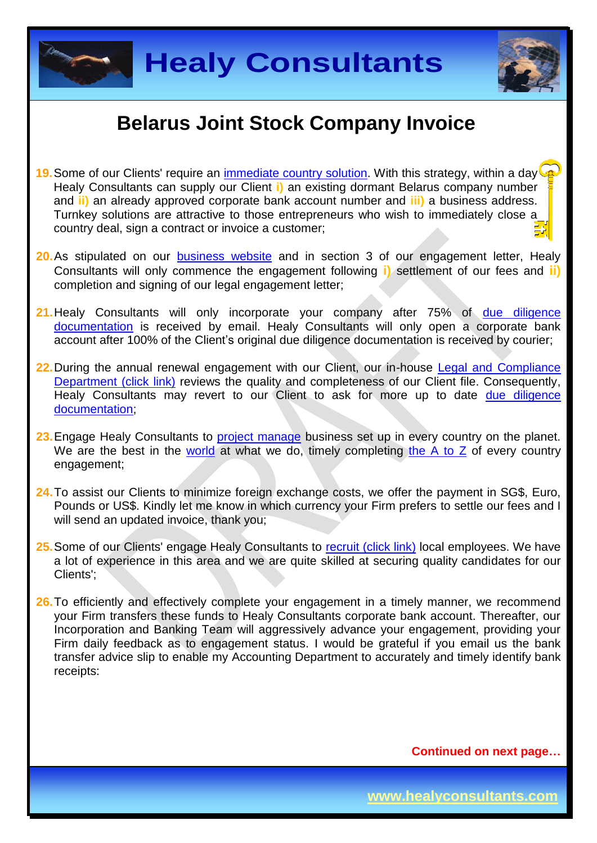



- **19.** Some of our Clients' require an [immediate country](http://www.healyconsultants.com/turnkey-solutions/) solution. With this strategy, within a day Healy Consultants can supply our Client **i)** an existing dormant Belarus company number and **ii)** an already approved corporate bank account number and **iii)** a business address. Turnkey solutions are attractive to those entrepreneurs who wish to immediately close a country deal, sign a contract or invoice a customer;
- **20.**As stipulated on our [business website](http://www.healyconsultants.com/) and in section 3 of our engagement letter, Healy Consultants will only commence the engagement following **i)** settlement of our fees and **ii)** completion and signing of our legal engagement letter;
- **21.**Healy Consultants will only incorporate your company after 75% of [due diligence](http://www.healyconsultants.com/due-diligence/)  [documentation](http://www.healyconsultants.com/due-diligence/) is received by email. Healy Consultants will only open a corporate bank account after 100% of the Client's original due diligence documentation is received by courier;
- **22.**During the annual renewal engagement with our Client, our in-house [Legal and Compliance](http://www.healyconsultants.com/about-us/key-personnel/cai-xin-profile/)  [Department \(click link\)](http://www.healyconsultants.com/about-us/key-personnel/cai-xin-profile/) reviews the quality and completeness of our Client file. Consequently, Healy Consultants may revert to our Client to ask for more up to date due diligence [documentation;](http://www.healyconsultants.com/due-diligence/)
- 23. Engage Healy Consultants to [project manage](http://www.healyconsultants.com/project-manage-engagements/) business set up in every country on the planet. We are the best in the [world](http://www.healyconsultants.com/best-in-the-world/) at what we do, timely completing [the A to Z](http://www.healyconsultants.com/a-to-z-of-business-set-up/) of every country engagement;
- **24.**To assist our Clients to minimize foreign exchange costs, we offer the payment in SG\$, Euro, Pounds or US\$. Kindly let me know in which currency your Firm prefers to settle our fees and I will send an updated invoice, thank you;
- 25. Some of our Clients' engage Healy Consultants to [recruit \(click link\)](http://www.healyconsultants.com/corporate-outsourcing-services/how-we-help-our-clients-recruit-quality-employees/) local employees. We have a lot of experience in this area and we are quite skilled at securing quality candidates for our Clients';
- 26. To efficiently and effectively complete your engagement in a timely manner, we recommend your Firm transfers these funds to Healy Consultants corporate bank account. Thereafter, our Incorporation and Banking Team will aggressively advance your engagement, providing your Firm daily feedback as to engagement status. I would be grateful if you email us the bank transfer advice slip to enable my Accounting Department to accurately and timely identify bank receipts: